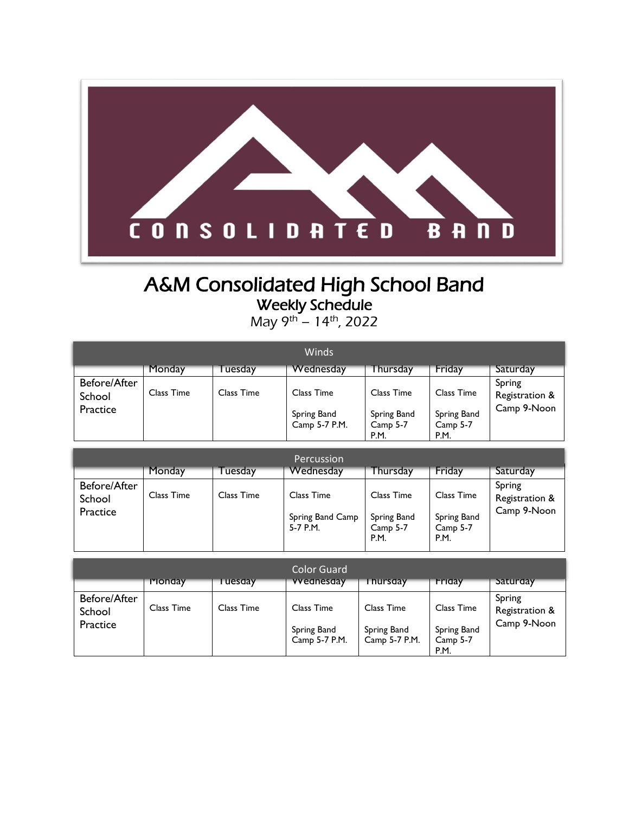

## A&M Consolidated High School Band Weekly Schedule

May 9<sup>th</sup> – 14<sup>th</sup>, 2022

| Winds                  |            |            |                              |                                 |                                 |                          |
|------------------------|------------|------------|------------------------------|---------------------------------|---------------------------------|--------------------------|
|                        | Monday     | Tuesday    | Wednesday                    | Thursday                        | Friday                          | Saturday                 |
| Before/After<br>School | Class Time | Class Time | Class Time                   | Class Time                      | Class Time                      | Spring<br>Registration & |
| Practice               |            |            | Spring Band<br>Camp 5-7 P.M. | Spring Band<br>Camp 5-7<br>P.M. | Spring Band<br>Camp 5-7<br>P.M. | Camp 9-Noon              |

|                                    |            |            | Percussion                                   |                                               |                                               |                                         |
|------------------------------------|------------|------------|----------------------------------------------|-----------------------------------------------|-----------------------------------------------|-----------------------------------------|
|                                    | Monday     | uesday     | Wednesday                                    | Thursday                                      | Friday                                        | Saturday                                |
| Before/After<br>School<br>Practice | Class Time | Class Time | Class Time<br>Spring Band Camp<br>$5-7$ P.M. | Class Time<br>Spring Band<br>Camp 5-7<br>P.M. | Class Time<br>Spring Band<br>Camp 5-7<br>P.M. | Spring<br>Registration &<br>Camp 9-Noon |

|                                    | Monday     | uesday     | Color Guard<br><b>VVednesday</b>           | <b>hursday</b>                             | Friday                                               | Saturday                                |
|------------------------------------|------------|------------|--------------------------------------------|--------------------------------------------|------------------------------------------------------|-----------------------------------------|
| Before/After<br>School<br>Practice | Class Time | Class Time | Class Time<br>Spring Band<br>Camp 5-7 P.M. | Class Time<br>Spring Band<br>Camp 5-7 P.M. | Class Time<br>Spring Band<br>Camp 5-7<br><b>P.M.</b> | Spring<br>Registration &<br>Camp 9-Noon |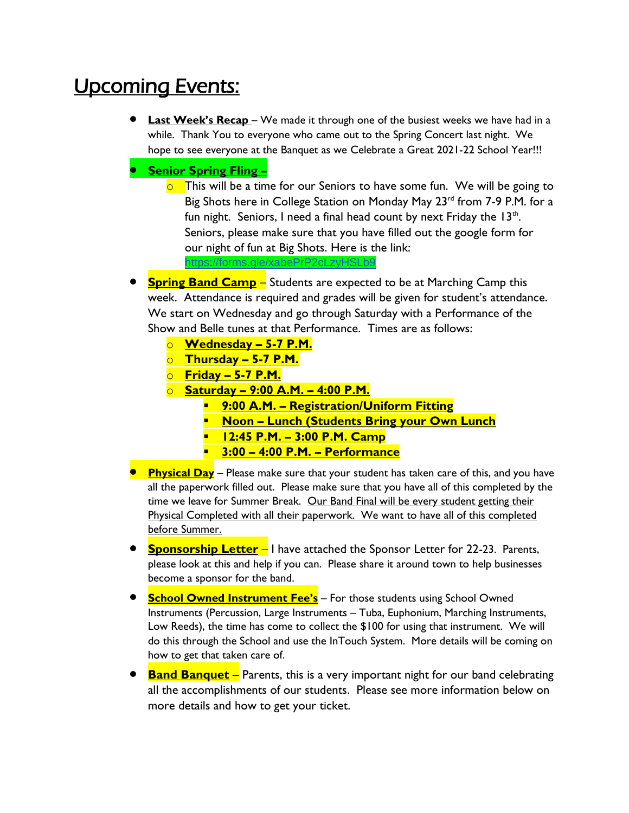# Upcoming Events:

- **Last Week's Recap** We made it through one of the busiest weeks we have had in a while. Thank You to everyone who came out to the Spring Concert last night. We hope to see everyone at the Banquet as we Celebrate a Great 2021-22 School Year!!!
- **Senior Spring Fling –**
	- $\overline{\circ}$  This will be a time for our Seniors to have some fun. We will be going to Big Shots here in College Station on Monday May 23<sup>rd</sup> from 7-9 P.M. for a fun night. Seniors, I need a final head count by next Friday the  $13<sup>th</sup>$ . Seniors, please make sure that you have filled out the google form for our night of fun at Big Shots. Here is the link:
- **Spring Band Camp** Students are expected to be at Marching Camp this week. Attendance is required and grades will be given for student's attendance. We start on Wednesday and go through Saturday with a Performance of the Show and Belle tunes at that Performance. Times are as follows:
	- o **Wednesday – 5-7 P.M.**
	- o **Thursday – 5-7 P.M.**
	- o **Friday – 5-7 P.M.**
	- o **Saturday – 9:00 A.M. – 4:00 P.M.**

<https://forms.gle/xabePrP2cLzyHSLb9>

- **9:00 A.M. – Registration/Uniform Fitting**
- **Noon – Lunch (Students Bring your Own Lunch**
- **12:45 P.M. – 3:00 P.M. Camp**
- **3:00 – 4:00 P.M. – Performance**
- **Physical Day** Please make sure that your student has taken care of this, and you have all the paperwork filled out. Please make sure that you have all of this completed by the time we leave for Summer Break. Our Band Final will be every student getting their Physical Completed with all their paperwork. We want to have all of this completed before Summer.
- **Sponsorship Letter** I have attached the Sponsor Letter for 22-23. Parents, please look at this and help if you can. Please share it around town to help businesses become a sponsor for the band.
- **School Owned Instrument Fee's** For those students using School Owned Instruments (Percussion, Large Instruments – Tuba, Euphonium, Marching Instruments, Low Reeds), the time has come to collect the \$100 for using that instrument. We will do this through the School and use the InTouch System. More details will be coming on how to get that taken care of.
- **Band Banquet** Parents, this is a very important night for our band celebrating all the accomplishments of our students. Please see more information below on more details and how to get your ticket.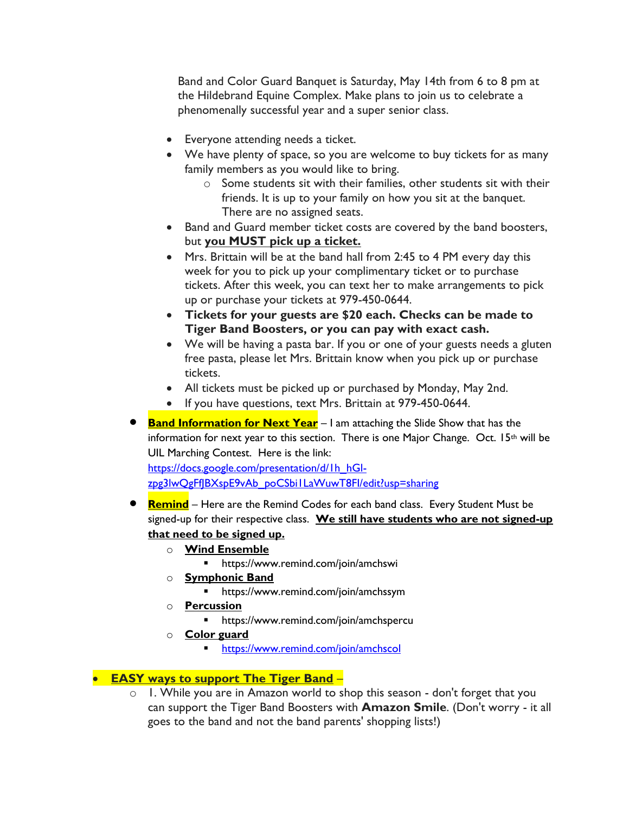Band and Color Guard Banquet is Saturday, May 14th from 6 to 8 pm at the Hildebrand Equine Complex. Make plans to join us to celebrate a phenomenally successful year and a super senior class.

- Everyone attending needs a ticket.
- We have plenty of space, so you are welcome to buy tickets for as many family members as you would like to bring.
	- o Some students sit with their families, other students sit with their friends. It is up to your family on how you sit at the banquet. There are no assigned seats.
- Band and Guard member ticket costs are covered by the band boosters, but **you MUST pick up a ticket.**
- Mrs. Brittain will be at the band hall from 2:45 to 4 PM every day this week for you to pick up your complimentary ticket or to purchase tickets. After this week, you can text her to make arrangements to pick up or purchase your tickets at 979-450-0644.
- **Tickets for your guests are \$20 each. Checks can be made to Tiger Band Boosters, or you can pay with exact cash.**
- We will be having a pasta bar. If you or one of your guests needs a gluten free pasta, please let Mrs. Brittain know when you pick up or purchase tickets.
- All tickets must be picked up or purchased by Monday, May 2nd.
- If you have questions, text Mrs. Brittain at 979-450-0644.
- **Band Information for Next Year** I am attaching the Slide Show that has the information for next year to this section. There is one Major Change. Oct. 15th will be UIL Marching Contest. Here is the link:

[https://docs.google.com/presentation/d/1h\\_hGl](https://docs.google.com/presentation/d/1h_hGl-zpg3lwQgFfJBXspE9vAb_poCSbi1LaWuwT8FI/edit?usp=sharing)[zpg3lwQgFfJBXspE9vAb\\_poCSbi1LaWuwT8FI/edit?usp=sharing](https://docs.google.com/presentation/d/1h_hGl-zpg3lwQgFfJBXspE9vAb_poCSbi1LaWuwT8FI/edit?usp=sharing)

- **Remind** Here are the Remind Codes for each band class. Every Student Must be signed-up for their respective class. **We still have students who are not signed-up that need to be signed up.** 
	- o **Wind Ensemble** 
		- https://www.remind.com/join/amchswi
	- o **Symphonic Band** 
		- https://www.remind.com/join/amchssym
	- o **Percussion** 
		- https://www.remind.com/join/amchspercu
	- o **Color guard** 
		- **<u>Inttps://www.remind.com/join/amchscol</u>**

#### • **EASY ways to support The Tiger Band** –

o 1. While you are in Amazon world to shop this season - don't forget that you can support the Tiger Band Boosters with **Amazon Smile**. (Don't worry - it all goes to the band and not the band parents' shopping lists!)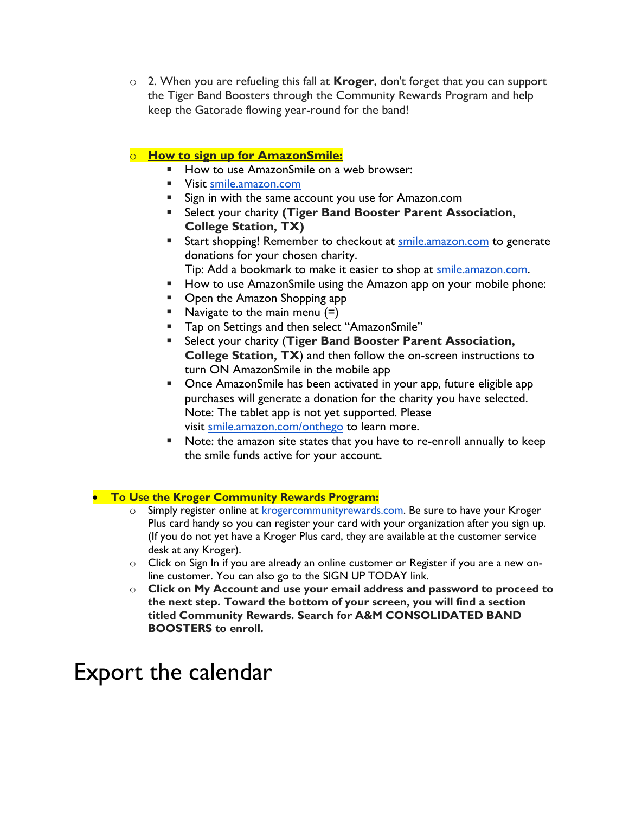o 2. When you are refueling this fall at **Kroger**, don't forget that you can support the Tiger Band Boosters through the Community Rewards Program and help keep the Gatorade flowing year-round for the band!

### o **How to sign up for AmazonSmile:**

- How to use AmazonSmile on a web browser:
- **UPIER 19 Visit [smile.amazon.com](http://url9345.charmsmusic.com/ls/click?upn=-2BDmUTwQO-2BV0Mh8uaCgzRqdJLC7aSX7vNUgZ7OoUtrOSsfRnLoaAqm3V62EaSy4qduMtACoUP761Z7RHun7l5AxarPdIGxcmTS1iqafuv4b3NeiUAEqJ-2FRBi2mBr4S10PqkLG_G9RtUC-2Fu-2Fkcsc8Jeo6DYJdIdonLWlBX0ca4rPG2F9-2BJU3r4bS1ezj2b2DtXfedNS4fzIhlAJ2S-2FZWghVO11XyefBcfp6Nghfsjpha2OKIDTHTTR2muX6ZJ5pTH3zt5IiF-2F67iZeTkTS-2F6tdtIvMngmeJqgtyccRhTMWXAsqew1JaWXpVrIgIWbG1RlJETAwrZ887BVr-2BsI4n6H28JPlubQ-3D-3D)**
- Sign in with the same account you use for Amazon.com
- Select your charity **(Tiger Band Booster Parent Association, College Station, TX)**
- **EXECT** Start shopping! Remember to checkout at [smile.amazon.com](http://url9345.charmsmusic.com/ls/click?upn=yWQgCPChKEo14oIC0fQCKFuhxk1QonaQLh7hPTmGWGJgObm-2BpmLtzejYtt-2BUf6vv4rxM_G9RtUC-2Fu-2Fkcsc8Jeo6DYJdIdonLWlBX0ca4rPG2F9-2BJU3r4bS1ezj2b2DtXfedNSJ9IqmmIS5mky7nstUnCnD4iHRPgbMWMnUewsWWwznnN0YQLc-2FNVdMbf-2F33Zvh9kT4XbmDg29dSKBidjAnKuZhg3lIRkHOcRkqTddkYi0r3CyrQ1Zd4RrmPv03brvvZfa5oMa25zfFGqy4TgP1HpB-2BA-3D-3D) to generate donations for your chosen charity.
	- Tip: Add a bookmark to make it easier to shop at [smile.amazon.com.](http://url9345.charmsmusic.com/ls/click?upn=-2BDmUTwQO-2BV0Mh8uaCgzRqdJLC7aSX7vNUgZ7OoUtrOSsfRnLoaAqm3V62EaSy4qduMtACoUP761Z7RHun7l5AxarPdIGxcmTS1iqafuv4b23EdwqW9ZkRMr6aIiFJGXnAVS2_G9RtUC-2Fu-2Fkcsc8Jeo6DYJdIdonLWlBX0ca4rPG2F9-2BJU3r4bS1ezj2b2DtXfedNS7OwMCCMpptpHq6n1FFX6g4U7zEFFqRBqomA7ShrwEMvE3amQfS5tfjiuzcA0cEBIj3M803DFrs9rIJexV1jRbK-2F1Ib1nh0k4xxoJt3Fx6b8830YM8mhudIueX2UW-2FYX6yNkSrw9gXMSjdWLz-2FUhMvQ-3D-3D)
- How to use AmazonSmile using the Amazon app on your mobile phone:
- Open the Amazon Shopping app
- $\blacksquare$  Navigate to the main menu  $(=)$
- Tap on Settings and then select "AmazonSmile"
- Select your charity (Tiger Band Booster Parent Association, **College Station, TX**) and then follow the on-screen instructions to turn ON AmazonSmile in the mobile app
- Once AmazonSmile has been activated in your app, future eligible app purchases will generate a donation for the charity you have selected. Note: The tablet app is not yet supported. Please visit [smile.amazon.com/onthego](http://url9345.charmsmusic.com/ls/click?upn=-2BDmUTwQO-2BV0Mh8uaCgzRqdJLC7aSX7vNUgZ7OoUtrOReEZasGjPhp3PaW1vS3SKzLLXVdrsaS8T0SyfOr804w2NmfgTTXhK0h57UwMDcICwHjnvZIpTXT65cKzZINw4K3-I6_G9RtUC-2Fu-2Fkcsc8Jeo6DYJdIdonLWlBX0ca4rPG2F9-2BJU3r4bS1ezj2b2DtXfedNSVZsHE5MZbD-2BNFbcCvwO9oC1VdneNWWWNXZlZkj0LusPwn2PYX5LxlV6sxEJd74xOw-2F47B9Mb7cmMTfUB7EzP1WBsiFusHWRcXbuMVhUmfx-2F5ZVfAtPYF0YV12TTF2RsZ20VvaMMp-2FkHRwKGtEuda4A-3D-3D) to learn more.
- Note: the amazon site states that you have to re-enroll annually to keep the smile funds active for your account.

#### • **To Use the Kroger Community Rewards Program:**

- $\circ$  Simply register online at **krogercommunityrewards.com**. Be sure to have your Kroger Plus card handy so you can register your card with your organization after you sign up. (If you do not yet have a Kroger Plus card, they are available at the customer service desk at any Kroger).
- o Click on Sign In if you are already an online customer or Register if you are a new online customer. You can also go to the SIGN UP TODAY link.
- o **Click on My Account and use your email address and password to proceed to the next step. Toward the bottom of your screen, you will find a section titled Community Rewards. Search for A&M CONSOLIDATED BAND BOOSTERS to enroll.**

# Export the calendar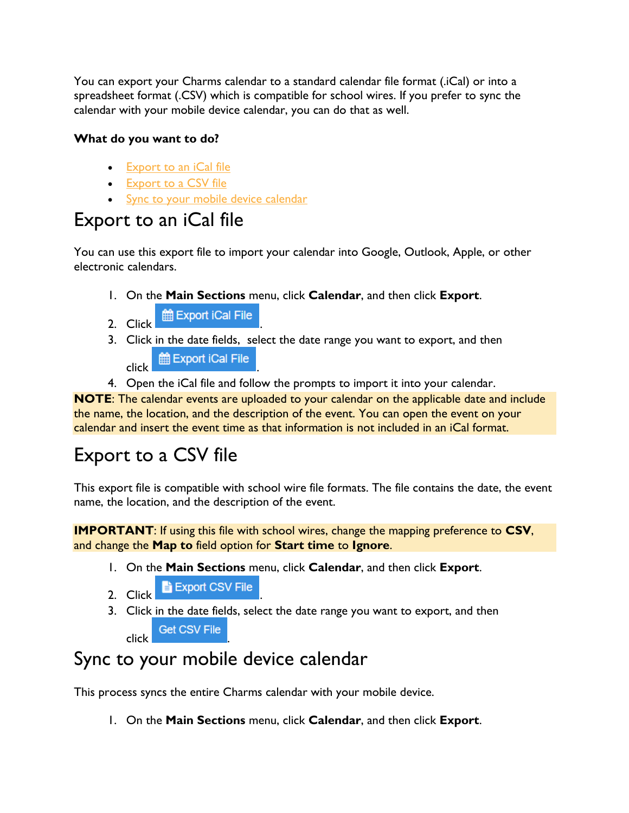You can export your Charms calendar to a standard calendar file format (.iCal) or into a spreadsheet format (.CSV) which is compatible for school wires. If you prefer to sync the calendar with your mobile device calendar, you can do that as well.

## **What do you want to do?**

- [Export to an iCal file](https://charms.zendesk.com/hc/en-us/articles/360050296773-Export-the-calendar#h_ab19b984-ad47-4c0b-886b-bfda53adb25a)
- [Export to a CSV file](https://charms.zendesk.com/hc/en-us/articles/360050296773-Export-the-calendar#h_1a2cccc7-4de8-4e78-b142-b10b8230e79f)
- [Sync to your mobile device calendar](https://charms.zendesk.com/hc/en-us/articles/360050296773-Export-the-calendar#h_2c9dbecc-0594-4e6e-8598-ebd87fbdb481)

## Export to an iCal file

You can use this export file to import your calendar into Google, Outlook, Apple, or other electronic calendars.

- 1. On the **Main Sections** menu, click **Calendar**, and then click **Export**.
- 2. Click .
- 3. Click in the date fields, select the date range you want to export, and then elick **the Export iCal File**
- 4. Open the iCal file and follow the prompts to import it into your calendar.

**NOTE**: The calendar events are uploaded to your calendar on the applicable date and include the name, the location, and the description of the event. You can open the event on your calendar and insert the event time as that information is not included in an iCal format.

# Export to a CSV file

This export file is compatible with school wire file formats. The file contains the date, the event name, the location, and the description of the event.

**IMPORTANT**: If using this file with school wires, change the mapping preference to **CSV**, and change the **Map to** field option for **Start time** to **Ignore**.

- 1. On the **Main Sections** menu, click **Calendar**, and then click **Export**.
- 2. Click **E** Export CSV File
- 3. Click in the date fields, select the date range you want to export, and then **C** Get CSV File

# Sync to your mobile device calendar

This process syncs the entire Charms calendar with your mobile device.

1. On the **Main Sections** menu, click **Calendar**, and then click **Export**.